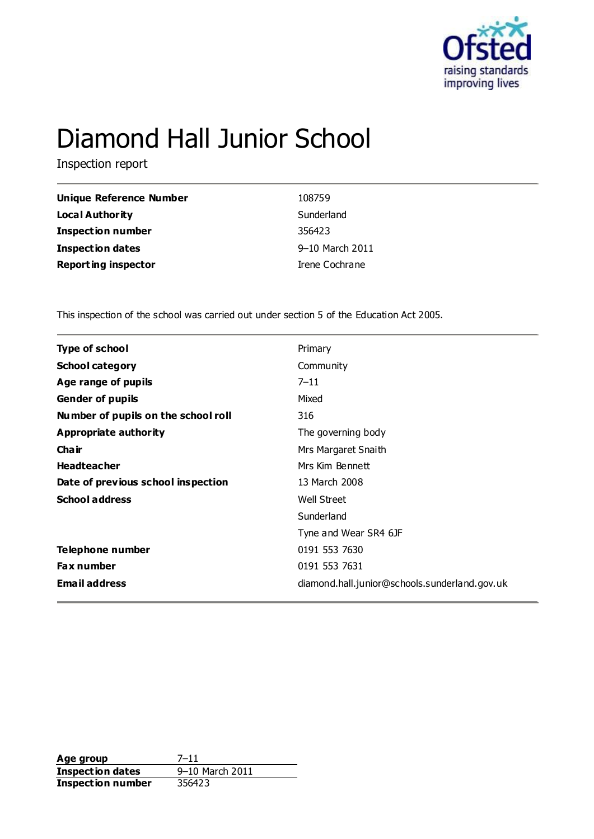

# Diamond Hall Junior School

Inspection report

| Unique Reference Number    | 108759          |
|----------------------------|-----------------|
| <b>Local Authority</b>     | Sunderland      |
| <b>Inspection number</b>   | 356423          |
| <b>Inspection dates</b>    | 9-10 March 2011 |
| <b>Reporting inspector</b> | Irene Cochrane  |

This inspection of the school was carried out under section 5 of the Education Act 2005.

| <b>Type of school</b>               | Primary                                       |
|-------------------------------------|-----------------------------------------------|
| <b>School category</b>              | Community                                     |
| Age range of pupils                 | $7 - 11$                                      |
| <b>Gender of pupils</b>             | Mixed                                         |
| Number of pupils on the school roll | 316                                           |
| <b>Appropriate authority</b>        | The governing body                            |
| Cha ir                              | Mrs Margaret Snaith                           |
| <b>Headteacher</b>                  | Mrs Kim Bennett                               |
| Date of previous school inspection  | 13 March 2008                                 |
| <b>School address</b>               | <b>Well Street</b>                            |
|                                     | Sunderland                                    |
|                                     | Tyne and Wear SR4 6JF                         |
| Telephone number                    | 0191 553 7630                                 |
| <b>Fax number</b>                   | 0191 553 7631                                 |
| <b>Email address</b>                | diamond.hall.junior@schools.sunderland.gov.uk |
|                                     |                                               |

**Age group** 7-11<br> **Inspection dates** 9-10 March 2011 **Inspection dates** 9–10 March 9–10 March 2012 **Inspection number**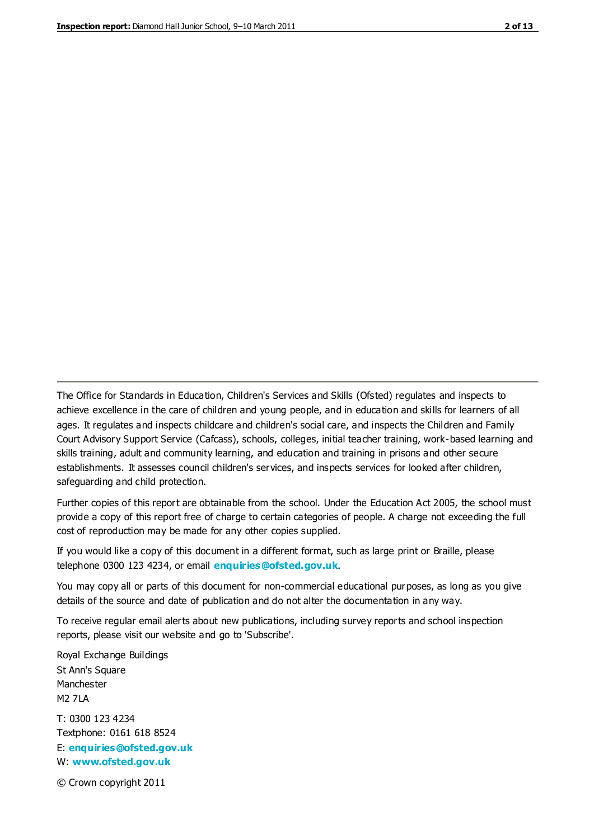The Office for Standards in Education, Children's Services and Skills (Ofsted) regulates and inspects to achieve excellence in the care of children and young people, and in education and skills for learners of all ages. It regulates and inspects childcare and children's social care, and inspects the Children and Family Court Advisory Support Service (Cafcass), schools, colleges, initial teacher training, work-based learning and skills training, adult and community learning, and education and training in prisons and other secure establishments. It assesses council children's services, and inspects services for looked after children, safeguarding and child protection.

Further copies of this report are obtainable from the school. Under the Education Act 2005, the school must provide a copy of this report free of charge to certain categories of people. A charge not exceeding the full cost of reproduction may be made for any other copies supplied.

If you would like a copy of this document in a different format, such as large print or Braille, please telephone 0300 123 4234, or email **[enquiries@ofsted.gov.uk](mailto:enquiries@ofsted.gov.uk)**.

You may copy all or parts of this document for non-commercial educational purposes, as long as you give details of the source and date of publication and do not alter the documentation in any way.

To receive regular email alerts about new publications, including survey reports and school inspection reports, please visit our website and go to 'Subscribe'.

Royal Exchange Buildings St Ann's Square Manchester M2 7LA T: 0300 123 4234 Textphone: 0161 618 8524 E: **[enquiries@ofsted.gov.uk](mailto:enquiries@ofsted.gov.uk)**

W: **[www.ofsted.gov.uk](http://www.ofsted.gov.uk/)**

© Crown copyright 2011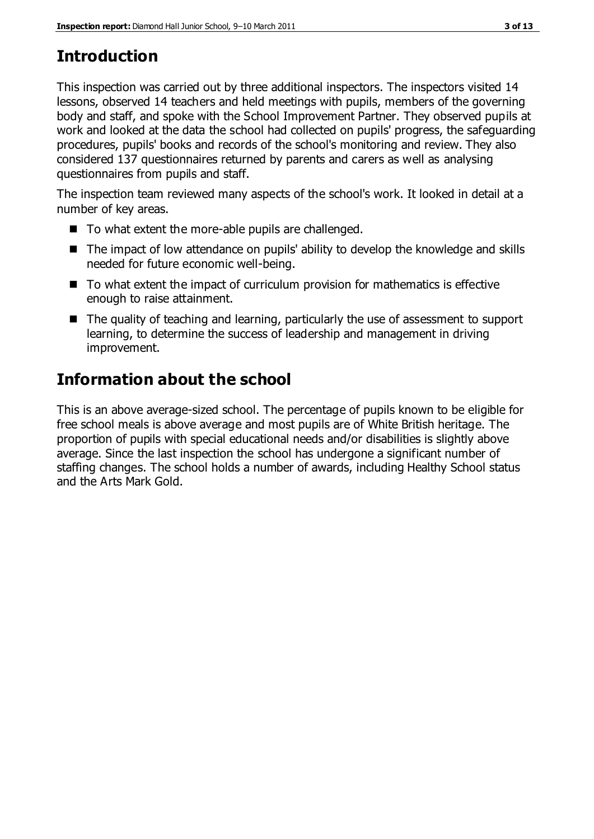# **Introduction**

This inspection was carried out by three additional inspectors. The inspectors visited 14 lessons, observed 14 teachers and held meetings with pupils, members of the governing body and staff, and spoke with the School Improvement Partner. They observed pupils at work and looked at the data the school had collected on pupils' progress, the safeguarding procedures, pupils' books and records of the school's monitoring and review. They also considered 137 questionnaires returned by parents and carers as well as analysing questionnaires from pupils and staff.

The inspection team reviewed many aspects of the school's work. It looked in detail at a number of key areas.

- To what extent the more-able pupils are challenged.
- The impact of low attendance on pupils' ability to develop the knowledge and skills needed for future economic well-being.
- To what extent the impact of curriculum provision for mathematics is effective enough to raise attainment.
- The quality of teaching and learning, particularly the use of assessment to support learning, to determine the success of leadership and management in driving improvement.

# **Information about the school**

This is an above average-sized school. The percentage of pupils known to be eligible for free school meals is above average and most pupils are of White British heritage. The proportion of pupils with special educational needs and/or disabilities is slightly above average. Since the last inspection the school has undergone a significant number of staffing changes. The school holds a number of awards, including Healthy School status and the Arts Mark Gold.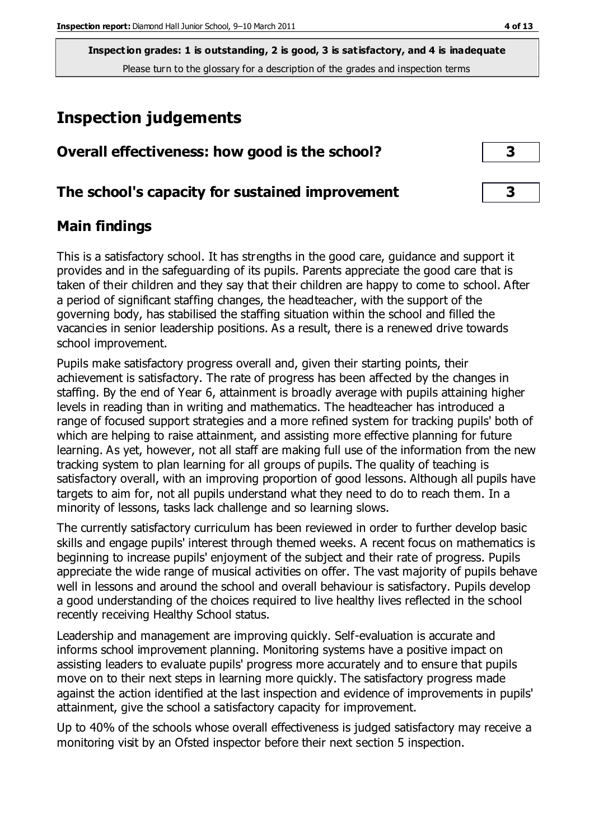# **Inspection judgements**

| Overall effectiveness: how good is the school?  |  |
|-------------------------------------------------|--|
| The school's capacity for sustained improvement |  |

# **Main findings**

This is a satisfactory school. It has strengths in the good care, guidance and support it provides and in the safeguarding of its pupils. Parents appreciate the good care that is taken of their children and they say that their children are happy to come to school. After a period of significant staffing changes, the headteacher, with the support of the governing body, has stabilised the staffing situation within the school and filled the vacancies in senior leadership positions. As a result, there is a renewed drive towards school improvement.

Pupils make satisfactory progress overall and, given their starting points, their achievement is satisfactory. The rate of progress has been affected by the changes in staffing. By the end of Year 6, attainment is broadly average with pupils attaining higher levels in reading than in writing and mathematics. The headteacher has introduced a range of focused support strategies and a more refined system for tracking pupils' both of which are helping to raise attainment, and assisting more effective planning for future learning. As yet, however, not all staff are making full use of the information from the new tracking system to plan learning for all groups of pupils. The quality of teaching is satisfactory overall, with an improving proportion of good lessons. Although all pupils have targets to aim for, not all pupils understand what they need to do to reach them. In a minority of lessons, tasks lack challenge and so learning slows.

The currently satisfactory curriculum has been reviewed in order to further develop basic skills and engage pupils' interest through themed weeks. A recent focus on mathematics is beginning to increase pupils' enjoyment of the subject and their rate of progress. Pupils appreciate the wide range of musical activities on offer. The vast majority of pupils behave well in lessons and around the school and overall behaviour is satisfactory. Pupils develop a good understanding of the choices required to live healthy lives reflected in the school recently receiving Healthy School status.

Leadership and management are improving quickly. Self-evaluation is accurate and informs school improvement planning. Monitoring systems have a positive impact on assisting leaders to evaluate pupils' progress more accurately and to ensure that pupils move on to their next steps in learning more quickly. The satisfactory progress made against the action identified at the last inspection and evidence of improvements in pupils' attainment, give the school a satisfactory capacity for improvement.

Up to 40% of the schools whose overall effectiveness is judged satisfactory may receive a monitoring visit by an Ofsted inspector before their next section 5 inspection.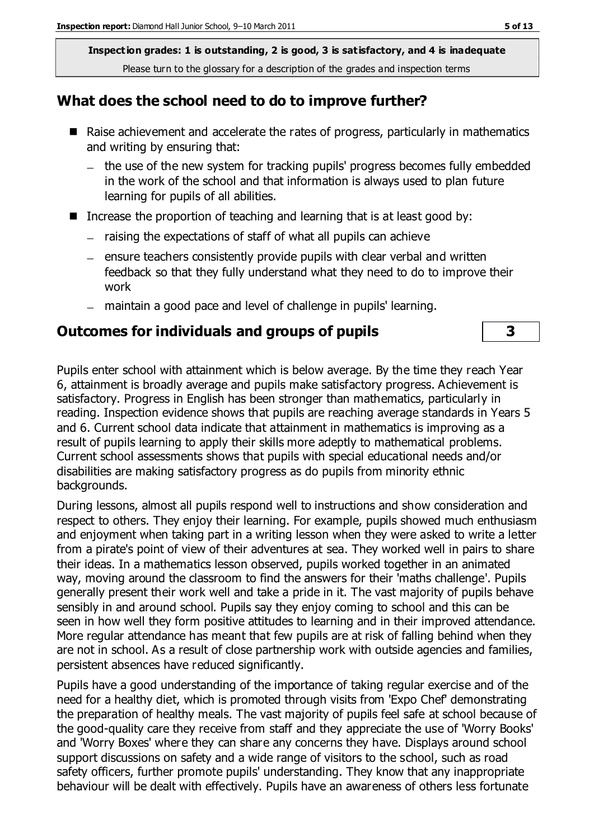## **What does the school need to do to improve further?**

- Raise achievement and accelerate the rates of progress, particularly in mathematics and writing by ensuring that:
	- the use of the new system for tracking pupils' progress becomes fully embedded in the work of the school and that information is always used to plan future learning for pupils of all abilities.
- Increase the proportion of teaching and learning that is at least good by:
	- raising the expectations of staff of what all pupils can achieve
	- $-$  ensure teachers consistently provide pupils with clear verbal and written feedback so that they fully understand what they need to do to improve their work
	- maintain a good pace and level of challenge in pupils' learning.

#### **Outcomes for individuals and groups of pupils 3**

Pupils enter school with attainment which is below average. By the time they reach Year 6, attainment is broadly average and pupils make satisfactory progress. Achievement is satisfactory. Progress in English has been stronger than mathematics, particularly in reading. Inspection evidence shows that pupils are reaching average standards in Years 5 and 6. Current school data indicate that attainment in mathematics is improving as a result of pupils learning to apply their skills more adeptly to mathematical problems. Current school assessments shows that pupils with special educational needs and/or disabilities are making satisfactory progress as do pupils from minority ethnic backgrounds.

During lessons, almost all pupils respond well to instructions and show consideration and respect to others. They enjoy their learning. For example, pupils showed much enthusiasm and enjoyment when taking part in a writing lesson when they were asked to write a letter from a pirate's point of view of their adventures at sea. They worked well in pairs to share their ideas. In a mathematics lesson observed, pupils worked together in an animated way, moving around the classroom to find the answers for their 'maths challenge'. Pupils generally present their work well and take a pride in it. The vast majority of pupils behave sensibly in and around school. Pupils say they enjoy coming to school and this can be seen in how well they form positive attitudes to learning and in their improved attendance. More regular attendance has meant that few pupils are at risk of falling behind when they are not in school. As a result of close partnership work with outside agencies and families, persistent absences have reduced significantly.

Pupils have a good understanding of the importance of taking regular exercise and of the need for a healthy diet, which is promoted through visits from 'Expo Chef' demonstrating the preparation of healthy meals. The vast majority of pupils feel safe at school because of the good-quality care they receive from staff and they appreciate the use of 'Worry Books' and 'Worry Boxes' where they can share any concerns they have. Displays around school support discussions on safety and a wide range of visitors to the school, such as road safety officers, further promote pupils' understanding. They know that any inappropriate behaviour will be dealt with effectively. Pupils have an awareness of others less fortunate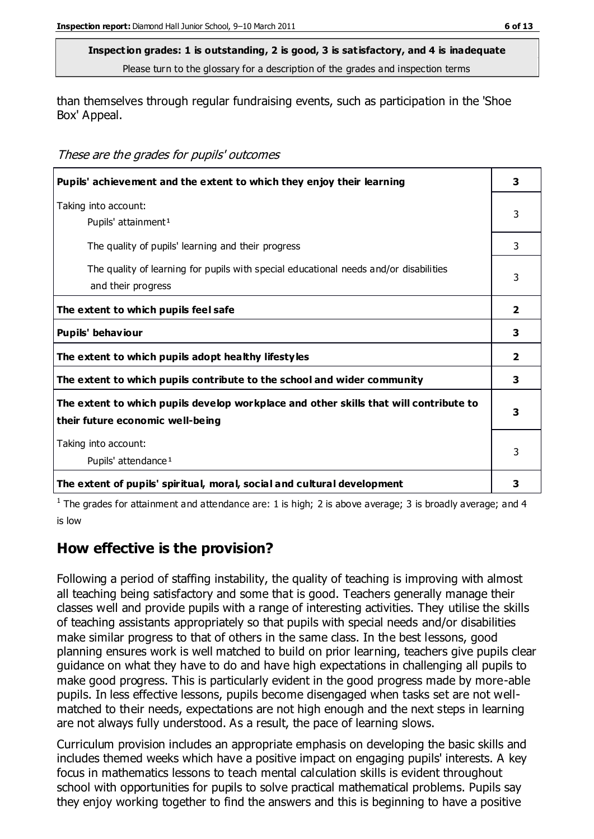than themselves through regular fundraising events, such as participation in the 'Shoe Box' Appeal.

These are the grades for pupils' outcomes

| Pupils' achievement and the extent to which they enjoy their learning                                                     |                |  |
|---------------------------------------------------------------------------------------------------------------------------|----------------|--|
| Taking into account:<br>Pupils' attainment <sup>1</sup>                                                                   | 3              |  |
| The quality of pupils' learning and their progress                                                                        | 3              |  |
| The quality of learning for pupils with special educational needs and/or disabilities<br>and their progress               | 3              |  |
| The extent to which pupils feel safe                                                                                      | $\overline{2}$ |  |
| Pupils' behaviour                                                                                                         | 3              |  |
| The extent to which pupils adopt healthy lifestyles                                                                       | $\overline{2}$ |  |
| The extent to which pupils contribute to the school and wider community                                                   | 3              |  |
| The extent to which pupils develop workplace and other skills that will contribute to<br>their future economic well-being | 3              |  |
| Taking into account:<br>Pupils' attendance <sup>1</sup>                                                                   |                |  |
| The extent of pupils' spiritual, moral, social and cultural development                                                   | з              |  |

<sup>1</sup> The grades for attainment and attendance are: 1 is high; 2 is above average; 3 is broadly average; and 4 is low

# **How effective is the provision?**

Following a period of staffing instability, the quality of teaching is improving with almost all teaching being satisfactory and some that is good. Teachers generally manage their classes well and provide pupils with a range of interesting activities. They utilise the skills of teaching assistants appropriately so that pupils with special needs and/or disabilities make similar progress to that of others in the same class. In the best lessons, good planning ensures work is well matched to build on prior learning, teachers give pupils clear guidance on what they have to do and have high expectations in challenging all pupils to make good progress. This is particularly evident in the good progress made by more-able pupils. In less effective lessons, pupils become disengaged when tasks set are not wellmatched to their needs, expectations are not high enough and the next steps in learning are not always fully understood. As a result, the pace of learning slows.

Curriculum provision includes an appropriate emphasis on developing the basic skills and includes themed weeks which have a positive impact on engaging pupils' interests. A key focus in mathematics lessons to teach mental calculation skills is evident throughout school with opportunities for pupils to solve practical mathematical problems. Pupils say they enjoy working together to find the answers and this is beginning to have a positive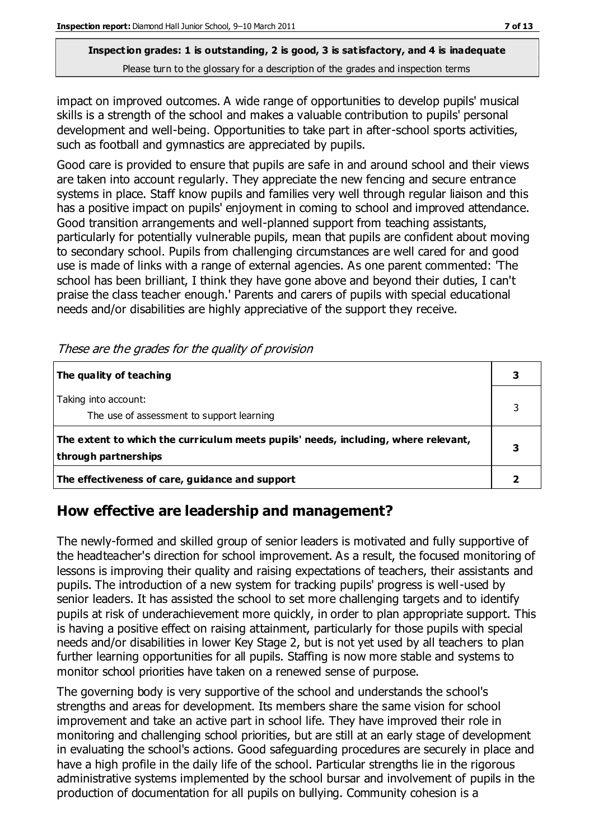impact on improved outcomes. A wide range of opportunities to develop pupils' musical skills is a strength of the school and makes a valuable contribution to pupils' personal development and well-being. Opportunities to take part in after-school sports activities, such as football and gymnastics are appreciated by pupils.

Good care is provided to ensure that pupils are safe in and around school and their views are taken into account regularly. They appreciate the new fencing and secure entrance systems in place. Staff know pupils and families very well through regular liaison and this has a positive impact on pupils' enjoyment in coming to school and improved attendance. Good transition arrangements and well-planned support from teaching assistants, particularly for potentially vulnerable pupils, mean that pupils are confident about moving to secondary school. Pupils from challenging circumstances are well cared for and good use is made of links with a range of external agencies. As one parent commented: 'The school has been brilliant, I think they have gone above and beyond their duties, I can't praise the class teacher enough.' Parents and carers of pupils with special educational needs and/or disabilities are highly appreciative of the support they receive.

| The quality of teaching                                                                                    |  |
|------------------------------------------------------------------------------------------------------------|--|
| Taking into account:<br>The use of assessment to support learning                                          |  |
| The extent to which the curriculum meets pupils' needs, including, where relevant,<br>through partnerships |  |
| The effectiveness of care, guidance and support                                                            |  |

These are the grades for the quality of provision

# **How effective are leadership and management?**

The newly-formed and skilled group of senior leaders is motivated and fully supportive of the headteacher's direction for school improvement. As a result, the focused monitoring of lessons is improving their quality and raising expectations of teachers, their assistants and pupils. The introduction of a new system for tracking pupils' progress is well-used by senior leaders. It has assisted the school to set more challenging targets and to identify pupils at risk of underachievement more quickly, in order to plan appropriate support. This is having a positive effect on raising attainment, particularly for those pupils with special needs and/or disabilities in lower Key Stage 2, but is not yet used by all teachers to plan further learning opportunities for all pupils. Staffing is now more stable and systems to monitor school priorities have taken on a renewed sense of purpose.

The governing body is very supportive of the school and understands the school's strengths and areas for development. Its members share the same vision for school improvement and take an active part in school life. They have improved their role in monitoring and challenging school priorities, but are still at an early stage of development in evaluating the school's actions. Good safeguarding procedures are securely in place and have a high profile in the daily life of the school. Particular strengths lie in the rigorous administrative systems implemented by the school bursar and involvement of pupils in the production of documentation for all pupils on bullying. Community cohesion is a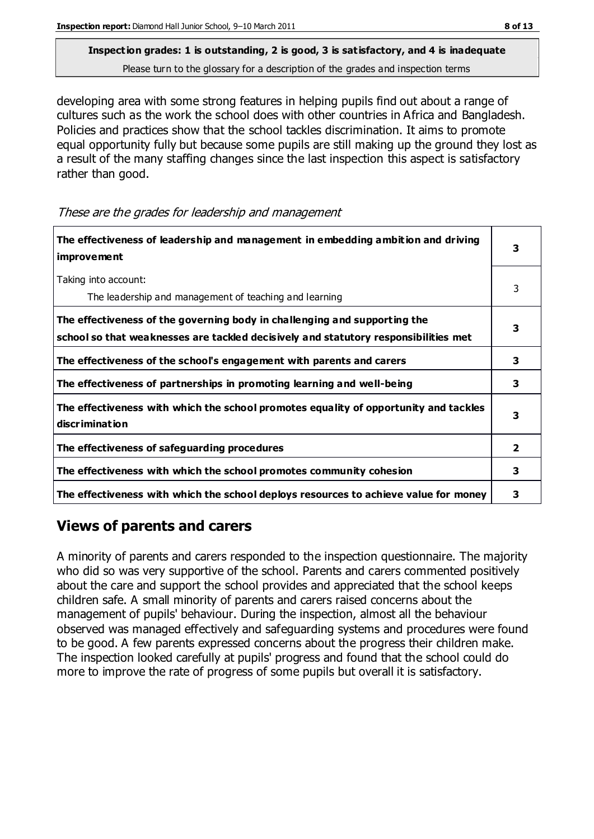developing area with some strong features in helping pupils find out about a range of cultures such as the work the school does with other countries in Africa and Bangladesh. Policies and practices show that the school tackles discrimination. It aims to promote equal opportunity fully but because some pupils are still making up the ground they lost as a result of the many staffing changes since the last inspection this aspect is satisfactory rather than good.

These are the grades for leadership and management

| The effectiveness of leadership and management in embedding ambition and driving<br>improvement                                                                  | 3 |
|------------------------------------------------------------------------------------------------------------------------------------------------------------------|---|
| Taking into account:<br>The leadership and management of teaching and learning                                                                                   | 3 |
| The effectiveness of the governing body in challenging and supporting the<br>school so that weaknesses are tackled decisively and statutory responsibilities met | 3 |
| The effectiveness of the school's engagement with parents and carers                                                                                             | 3 |
| The effectiveness of partnerships in promoting learning and well-being                                                                                           | 3 |
| The effectiveness with which the school promotes equality of opportunity and tackles<br>discrimination                                                           | 3 |
| The effectiveness of safeguarding procedures                                                                                                                     | 2 |
| The effectiveness with which the school promotes community cohesion                                                                                              | 3 |
| The effectiveness with which the school deploys resources to achieve value for money                                                                             | 3 |

# **Views of parents and carers**

A minority of parents and carers responded to the inspection questionnaire. The majority who did so was very supportive of the school. Parents and carers commented positively about the care and support the school provides and appreciated that the school keeps children safe. A small minority of parents and carers raised concerns about the management of pupils' behaviour. During the inspection, almost all the behaviour observed was managed effectively and safeguarding systems and procedures were found to be good. A few parents expressed concerns about the progress their children make. The inspection looked carefully at pupils' progress and found that the school could do more to improve the rate of progress of some pupils but overall it is satisfactory.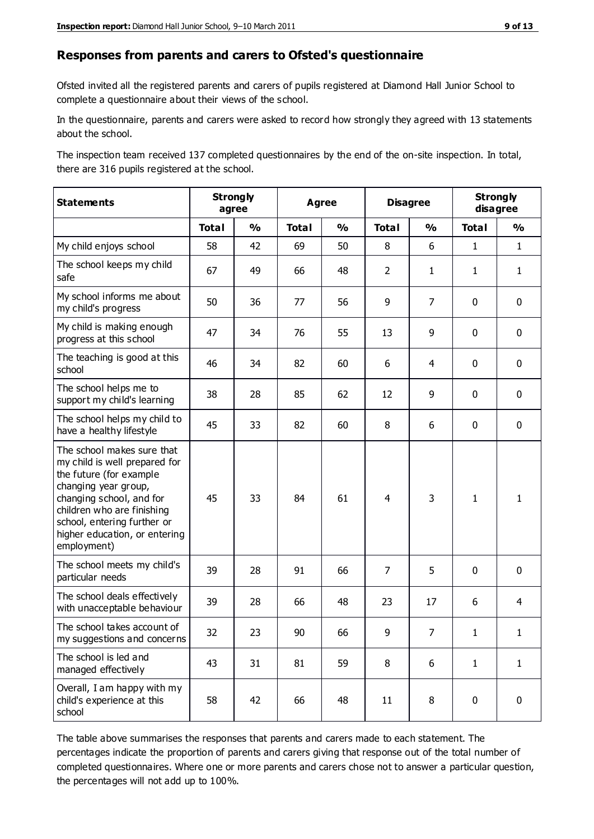#### **Responses from parents and carers to Ofsted's questionnaire**

Ofsted invited all the registered parents and carers of pupils registered at Diamond Hall Junior School to complete a questionnaire about their views of the school.

In the questionnaire, parents and carers were asked to record how strongly they agreed with 13 statements about the school.

The inspection team received 137 completed questionnaires by the end of the on-site inspection. In total, there are 316 pupils registered at the school.

| <b>Statements</b>                                                                                                                                                                                                                                       | <b>Strongly</b><br>agree |               | <b>Agree</b> |               | <b>Disagree</b> |                | <b>Strongly</b><br>disagree |                |
|---------------------------------------------------------------------------------------------------------------------------------------------------------------------------------------------------------------------------------------------------------|--------------------------|---------------|--------------|---------------|-----------------|----------------|-----------------------------|----------------|
|                                                                                                                                                                                                                                                         | <b>Total</b>             | $\frac{1}{2}$ | <b>Total</b> | $\frac{1}{2}$ | <b>Total</b>    | $\frac{1}{2}$  | <b>Total</b>                | $\frac{1}{2}$  |
| My child enjoys school                                                                                                                                                                                                                                  | 58                       | 42            | 69           | 50            | 8               | 6              | $\mathbf{1}$                | $\mathbf{1}$   |
| The school keeps my child<br>safe                                                                                                                                                                                                                       | 67                       | 49            | 66           | 48            | $\overline{2}$  | $\mathbf{1}$   | $\mathbf{1}$                | $\mathbf{1}$   |
| My school informs me about<br>my child's progress                                                                                                                                                                                                       | 50                       | 36            | 77           | 56            | 9               | 7              | $\mathbf 0$                 | $\mathbf 0$    |
| My child is making enough<br>progress at this school                                                                                                                                                                                                    | 47                       | 34            | 76           | 55            | 13              | 9              | $\mathbf 0$                 | $\mathbf 0$    |
| The teaching is good at this<br>school                                                                                                                                                                                                                  | 46                       | 34            | 82           | 60            | 6               | 4              | $\mathbf 0$                 | $\mathbf 0$    |
| The school helps me to<br>support my child's learning                                                                                                                                                                                                   | 38                       | 28            | 85           | 62            | 12              | 9              | $\mathbf 0$                 | $\mathbf 0$    |
| The school helps my child to<br>have a healthy lifestyle                                                                                                                                                                                                | 45                       | 33            | 82           | 60            | 8               | 6              | $\mathbf 0$                 | $\mathbf 0$    |
| The school makes sure that<br>my child is well prepared for<br>the future (for example<br>changing year group,<br>changing school, and for<br>children who are finishing<br>school, entering further or<br>higher education, or entering<br>employment) | 45                       | 33            | 84           | 61            | 4               | 3              | $\mathbf{1}$                | 1              |
| The school meets my child's<br>particular needs                                                                                                                                                                                                         | 39                       | 28            | 91           | 66            | $\overline{7}$  | 5              | $\mathbf 0$                 | $\mathbf 0$    |
| The school deals effectively<br>with unacceptable behaviour                                                                                                                                                                                             | 39                       | 28            | 66           | 48            | 23              | 17             | 6                           | $\overline{4}$ |
| The school takes account of<br>my suggestions and concerns                                                                                                                                                                                              | 32                       | 23            | $90\,$       | 66            | 9               | $\overline{7}$ | 1                           | 1              |
| The school is led and<br>managed effectively                                                                                                                                                                                                            | 43                       | 31            | 81           | 59            | 8               | 6              | $\mathbf{1}$                | $\mathbf{1}$   |
| Overall, I am happy with my<br>child's experience at this<br>school                                                                                                                                                                                     | 58                       | 42            | 66           | 48            | 11              | 8              | $\mathbf 0$                 | $\pmb{0}$      |

The table above summarises the responses that parents and carers made to each statement. The percentages indicate the proportion of parents and carers giving that response out of the total number of completed questionnaires. Where one or more parents and carers chose not to answer a particular question, the percentages will not add up to 100%.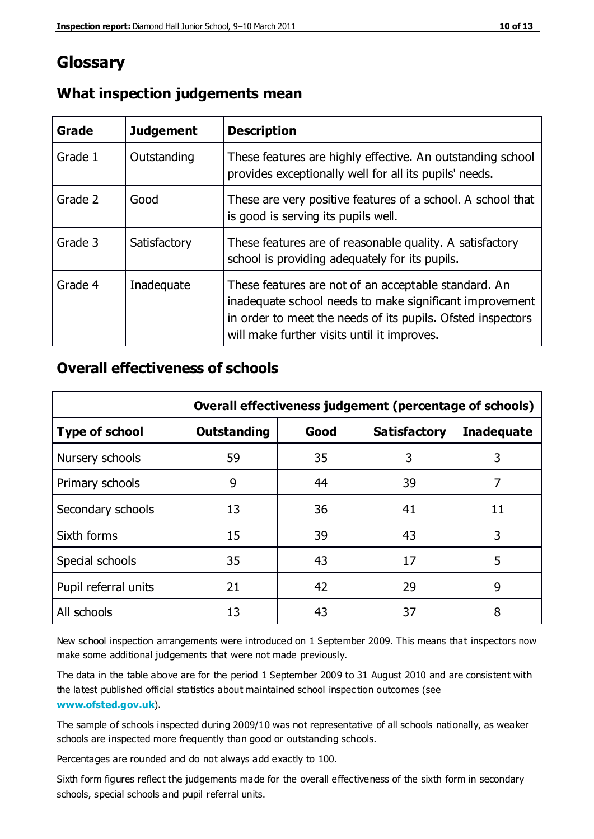# **Glossary**

| Grade   | <b>Judgement</b> | <b>Description</b>                                                                                                                                                                                                            |
|---------|------------------|-------------------------------------------------------------------------------------------------------------------------------------------------------------------------------------------------------------------------------|
| Grade 1 | Outstanding      | These features are highly effective. An outstanding school<br>provides exceptionally well for all its pupils' needs.                                                                                                          |
| Grade 2 | Good             | These are very positive features of a school. A school that<br>is good is serving its pupils well.                                                                                                                            |
| Grade 3 | Satisfactory     | These features are of reasonable quality. A satisfactory<br>school is providing adequately for its pupils.                                                                                                                    |
| Grade 4 | Inadequate       | These features are not of an acceptable standard. An<br>inadequate school needs to make significant improvement<br>in order to meet the needs of its pupils. Ofsted inspectors<br>will make further visits until it improves. |

## **What inspection judgements mean**

## **Overall effectiveness of schools**

|                       | Overall effectiveness judgement (percentage of schools) |      |                     |                   |
|-----------------------|---------------------------------------------------------|------|---------------------|-------------------|
| <b>Type of school</b> | <b>Outstanding</b>                                      | Good | <b>Satisfactory</b> | <b>Inadequate</b> |
| Nursery schools       | 59                                                      | 35   | 3                   | 3                 |
| Primary schools       | 9                                                       | 44   | 39                  | 7                 |
| Secondary schools     | 13                                                      | 36   | 41                  | 11                |
| Sixth forms           | 15                                                      | 39   | 43                  | 3                 |
| Special schools       | 35                                                      | 43   | 17                  | 5                 |
| Pupil referral units  | 21                                                      | 42   | 29                  | 9                 |
| All schools           | 13                                                      | 43   | 37                  | 8                 |

New school inspection arrangements were introduced on 1 September 2009. This means that inspectors now make some additional judgements that were not made previously.

The data in the table above are for the period 1 September 2009 to 31 August 2010 and are consistent with the latest published official statistics about maintained school inspec tion outcomes (see **[www.ofsted.gov.uk](http://www.ofsted.gov.uk/)**).

The sample of schools inspected during 2009/10 was not representative of all schools nationally, as weaker schools are inspected more frequently than good or outstanding schools.

Percentages are rounded and do not always add exactly to 100.

Sixth form figures reflect the judgements made for the overall effectiveness of the sixth form in secondary schools, special schools and pupil referral units.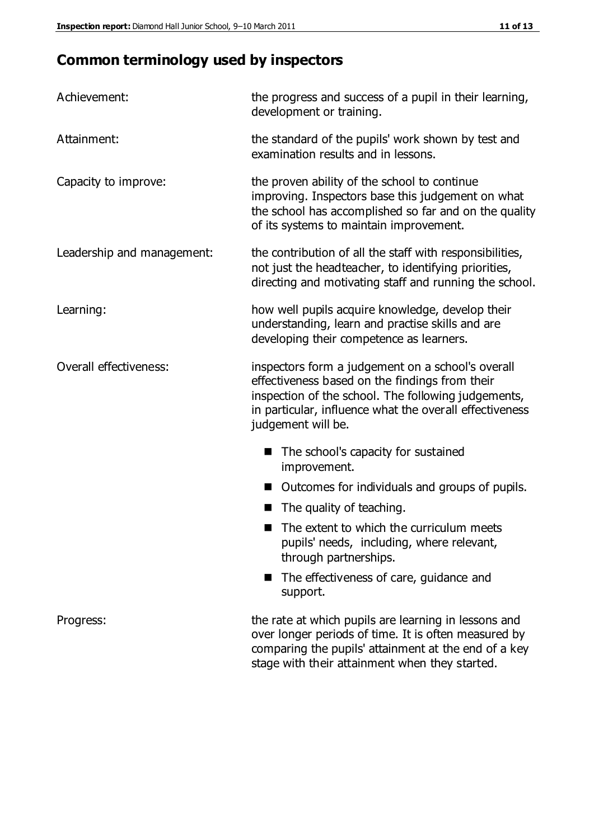# **Common terminology used by inspectors**

| Achievement:               | the progress and success of a pupil in their learning,<br>development or training.                                                                                                                                                          |  |  |
|----------------------------|---------------------------------------------------------------------------------------------------------------------------------------------------------------------------------------------------------------------------------------------|--|--|
| Attainment:                | the standard of the pupils' work shown by test and<br>examination results and in lessons.                                                                                                                                                   |  |  |
| Capacity to improve:       | the proven ability of the school to continue<br>improving. Inspectors base this judgement on what<br>the school has accomplished so far and on the quality<br>of its systems to maintain improvement.                                       |  |  |
| Leadership and management: | the contribution of all the staff with responsibilities,<br>not just the headteacher, to identifying priorities,<br>directing and motivating staff and running the school.                                                                  |  |  |
| Learning:                  | how well pupils acquire knowledge, develop their<br>understanding, learn and practise skills and are<br>developing their competence as learners.                                                                                            |  |  |
| Overall effectiveness:     | inspectors form a judgement on a school's overall<br>effectiveness based on the findings from their<br>inspection of the school. The following judgements,<br>in particular, influence what the overall effectiveness<br>judgement will be. |  |  |
|                            | The school's capacity for sustained<br>improvement.                                                                                                                                                                                         |  |  |
|                            | Outcomes for individuals and groups of pupils.                                                                                                                                                                                              |  |  |
|                            | The quality of teaching.                                                                                                                                                                                                                    |  |  |
|                            | The extent to which the curriculum meets<br>pupils' needs, including, where relevant,<br>through partnerships.                                                                                                                              |  |  |
|                            | The effectiveness of care, guidance and<br>support.                                                                                                                                                                                         |  |  |
| Progress:                  | the rate at which pupils are learning in lessons and<br>over longer periods of time. It is often measured by<br>comparing the pupils' attainment at the end of a key                                                                        |  |  |

stage with their attainment when they started.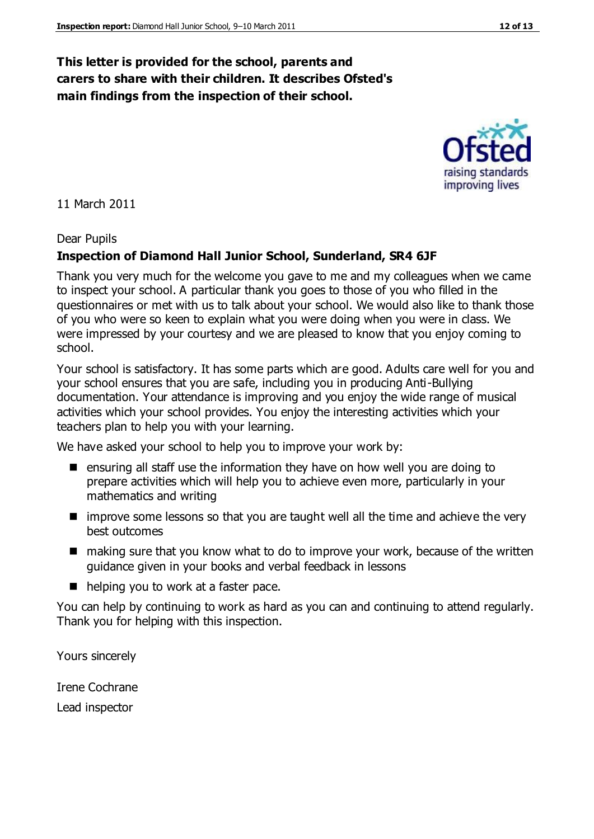## **This letter is provided for the school, parents and carers to share with their children. It describes Ofsted's main findings from the inspection of their school.**

11 March 2011

#### Dear Pupils

#### **Inspection of Diamond Hall Junior School, Sunderland, SR4 6JF**

Thank you very much for the welcome you gave to me and my colleagues when we came to inspect your school. A particular thank you goes to those of you who filled in the questionnaires or met with us to talk about your school. We would also like to thank those of you who were so keen to explain what you were doing when you were in class. We were impressed by your courtesy and we are pleased to know that you enjoy coming to school.

Your school is satisfactory. It has some parts which are good. Adults care well for you and your school ensures that you are safe, including you in producing Anti-Bullying documentation. Your attendance is improving and you enjoy the wide range of musical activities which your school provides. You enjoy the interesting activities which your teachers plan to help you with your learning.

We have asked your school to help you to improve your work by:

- **E** ensuring all staff use the information they have on how well you are doing to prepare activities which will help you to achieve even more, particularly in your mathematics and writing
- **If** improve some lessons so that you are taught well all the time and achieve the very best outcomes
- making sure that you know what to do to improve your work, because of the written guidance given in your books and verbal feedback in lessons
- helping you to work at a faster pace.

You can help by continuing to work as hard as you can and continuing to attend regularly. Thank you for helping with this inspection.

Yours sincerely

Irene Cochrane Lead inspector